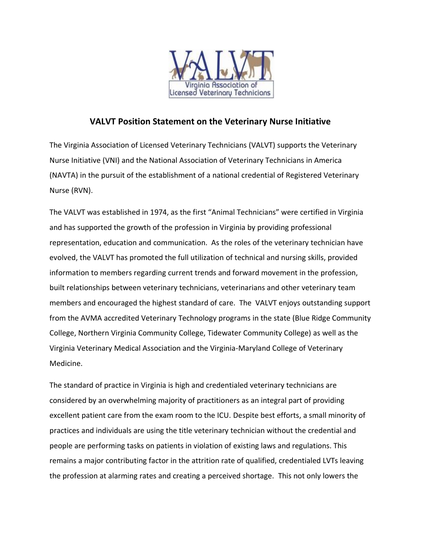

## **VALVT Position Statement on the Veterinary Nurse Initiative**

The Virginia Association of Licensed Veterinary Technicians (VALVT) supports the Veterinary Nurse Initiative (VNI) and the National Association of Veterinary Technicians in America (NAVTA) in the pursuit of the establishment of a national credential of Registered Veterinary Nurse (RVN).

The VALVT was established in 1974, as the first "Animal Technicians" were certified in Virginia and has supported the growth of the profession in Virginia by providing professional representation, education and communication. As the roles of the veterinary technician have evolved, the VALVT has promoted the full utilization of technical and nursing skills, provided information to members regarding current trends and forward movement in the profession, built relationships between veterinary technicians, veterinarians and other veterinary team members and encouraged the highest standard of care. The VALVT enjoys outstanding support from the AVMA accredited Veterinary Technology programs in the state (Blue Ridge Community College, Northern Virginia Community College, Tidewater Community College) as well as the Virginia Veterinary Medical Association and the Virginia-Maryland College of Veterinary Medicine.

The standard of practice in Virginia is high and credentialed veterinary technicians are considered by an overwhelming majority of practitioners as an integral part of providing excellent patient care from the exam room to the ICU. Despite best efforts, a small minority of practices and individuals are using the title veterinary technician without the credential and people are performing tasks on patients in violation of existing laws and regulations. This remains a major contributing factor in the attrition rate of qualified, credentialed LVTs leaving the profession at alarming rates and creating a perceived shortage. This not only lowers the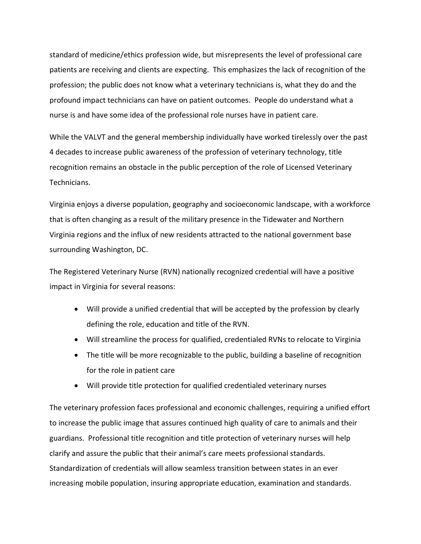standard of medicine/ethics profession wide, but misrepresents the level of professional care patients are receiving and clients are expecting. This emphasizes the lack of recognition of the profession; the public does not know what a veterinary technicians is, what they do and the profound impact technicians can have on patient outcomes. People do understand what a nurse is and have some idea of the professional role nurses have in patient care.

While the VALVT and the general membership individually have worked tirelessly over the past 4 decades to increase public awareness of the profession of veterinary technology, title recognition remains an obstacle in the public perception of the role of Licensed Veterinary Technicians.

Virginia enjoys a diverse population, geography and socioeconomic landscape, with a workforce that is often changing as a result of the military presence in the Tidewater and Northern Virginia regions and the influx of new residents attracted to the national government base surrounding Washington, DC.

The Registered Veterinary Nurse (RVN) nationally recognized credential will have a positive impact in Virginia for several reasons:

- Will provide a unified credential that will be accepted by the profession by clearly defining the role, education and title of the RVN.
- Will streamline the process for qualified, credentialed RVNs to relocate to Virginia
- The title will be more recognizable to the public, building a baseline of recognition for the role in patient care
- Will provide title protection for qualified credentialed veterinary nurses

The veterinary profession faces professional and economic challenges, requiring a unified effort to increase the public image that assures continued high quality of care to animals and their guardians. Professional title recognition and title protection of veterinary nurses will help clarify and assure the public that their animal's care meets professional standards. Standardization of credentials will allow seamless transition between states in an ever increasing mobile population, insuring appropriate education, examination and standards.